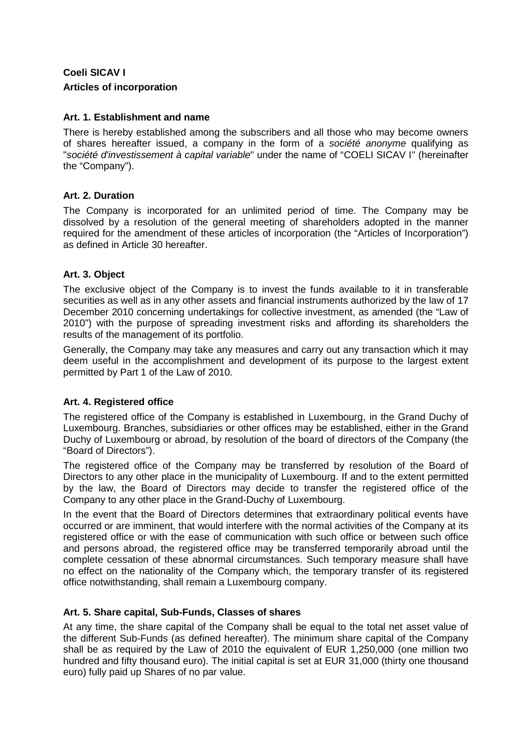# **Coeli SICAV I Articles of incorporation**

### **Art. 1. Establishment and name**

There is hereby established among the subscribers and all those who may become owners of shares hereafter issued, a company in the form of a *société anonyme* qualifying as "*société d'investissement à capital variable*" under the name of "COELI SICAV I'' (hereinafter the "Company").

### **Art. 2. Duration**

The Company is incorporated for an unlimited period of time. The Company may be dissolved by a resolution of the general meeting of shareholders adopted in the manner required for the amendment of these articles of incorporation (the "Articles of Incorporation") as defined in Article 30 hereafter.

### **Art. 3. Object**

The exclusive object of the Company is to invest the funds available to it in transferable securities as well as in any other assets and financial instruments authorized by the law of 17 December 2010 concerning undertakings for collective investment, as amended (the "Law of 2010") with the purpose of spreading investment risks and affording its shareholders the results of the management of its portfolio.

Generally, the Company may take any measures and carry out any transaction which it may deem useful in the accomplishment and development of its purpose to the largest extent permitted by Part 1 of the Law of 2010.

# **Art. 4. Registered office**

The registered office of the Company is established in Luxembourg, in the Grand Duchy of Luxembourg. Branches, subsidiaries or other offices may be established, either in the Grand Duchy of Luxembourg or abroad, by resolution of the board of directors of the Company (the "Board of Directors").

The registered office of the Company may be transferred by resolution of the Board of Directors to any other place in the municipality of Luxembourg. If and to the extent permitted by the law, the Board of Directors may decide to transfer the registered office of the Company to any other place in the Grand-Duchy of Luxembourg.

In the event that the Board of Directors determines that extraordinary political events have occurred or are imminent, that would interfere with the normal activities of the Company at its registered office or with the ease of communication with such office or between such office and persons abroad, the registered office may be transferred temporarily abroad until the complete cessation of these abnormal circumstances. Such temporary measure shall have no effect on the nationality of the Company which, the temporary transfer of its registered office notwithstanding, shall remain a Luxembourg company.

### **Art. 5. Share capital, Sub-Funds, Classes of shares**

At any time, the share capital of the Company shall be equal to the total net asset value of the different Sub-Funds (as defined hereafter). The minimum share capital of the Company shall be as required by the Law of 2010 the equivalent of EUR 1,250,000 (one million two hundred and fifty thousand euro). The initial capital is set at EUR 31,000 (thirty one thousand euro) fully paid up Shares of no par value.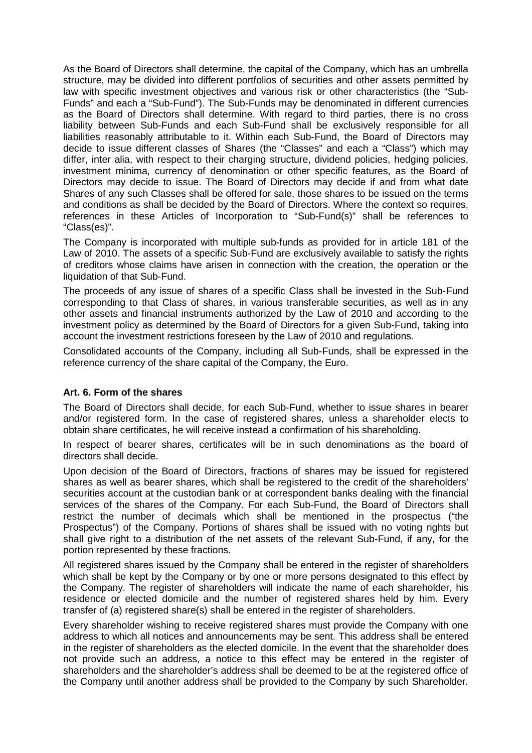As the Board of Directors shall determine, the capital of the Company, which has an umbrella structure, may be divided into different portfolios of securities and other assets permitted by law with specific investment objectives and various risk or other characteristics (the "Sub-Funds" and each a "Sub-Fund"). The Sub-Funds may be denominated in different currencies as the Board of Directors shall determine. With regard to third parties, there is no cross liability between Sub-Funds and each Sub-Fund shall be exclusively responsible for all liabilities reasonably attributable to it. Within each Sub-Fund, the Board of Directors may decide to issue different classes of Shares (the "Classes" and each a "Class") which may differ, inter alia, with respect to their charging structure, dividend policies, hedging policies, investment minima, currency of denomination or other specific features, as the Board of Directors may decide to issue. The Board of Directors may decide if and from what date Shares of any such Classes shall be offered for sale, those shares to be issued on the terms and conditions as shall be decided by the Board of Directors. Where the context so requires, references in these Articles of Incorporation to "Sub-Fund(s)" shall be references to "Class(es)".

The Company is incorporated with multiple sub-funds as provided for in article 181 of the Law of 2010. The assets of a specific Sub-Fund are exclusively available to satisfy the rights of creditors whose claims have arisen in connection with the creation, the operation or the liquidation of that Sub-Fund.

The proceeds of any issue of shares of a specific Class shall be invested in the Sub-Fund corresponding to that Class of shares, in various transferable securities, as well as in any other assets and financial instruments authorized by the Law of 2010 and according to the investment policy as determined by the Board of Directors for a given Sub-Fund, taking into account the investment restrictions foreseen by the Law of 2010 and regulations.

Consolidated accounts of the Company, including all Sub-Funds, shall be expressed in the reference currency of the share capital of the Company, the Euro.

### **Art. 6. Form of the shares**

The Board of Directors shall decide, for each Sub-Fund, whether to issue shares in bearer and/or registered form. In the case of registered shares, unless a shareholder elects to obtain share certificates, he will receive instead a confirmation of his shareholding.

In respect of bearer shares, certificates will be in such denominations as the board of directors shall decide.

Upon decision of the Board of Directors, fractions of shares may be issued for registered shares as well as bearer shares, which shall be registered to the credit of the shareholders' securities account at the custodian bank or at correspondent banks dealing with the financial services of the shares of the Company. For each Sub-Fund, the Board of Directors shall restrict the number of decimals which shall be mentioned in the prospectus ("the Prospectus") of the Company. Portions of shares shall be issued with no voting rights but shall give right to a distribution of the net assets of the relevant Sub-Fund, if any, for the portion represented by these fractions.

All registered shares issued by the Company shall be entered in the register of shareholders which shall be kept by the Company or by one or more persons designated to this effect by the Company. The register of shareholders will indicate the name of each shareholder, his residence or elected domicile and the number of registered shares held by him. Every transfer of (a) registered share(s) shall be entered in the register of shareholders.

Every shareholder wishing to receive registered shares must provide the Company with one address to which all notices and announcements may be sent. This address shall be entered in the register of shareholders as the elected domicile. In the event that the shareholder does not provide such an address, a notice to this effect may be entered in the register of shareholders and the shareholder's address shall be deemed to be at the registered office of the Company until another address shall be provided to the Company by such Shareholder.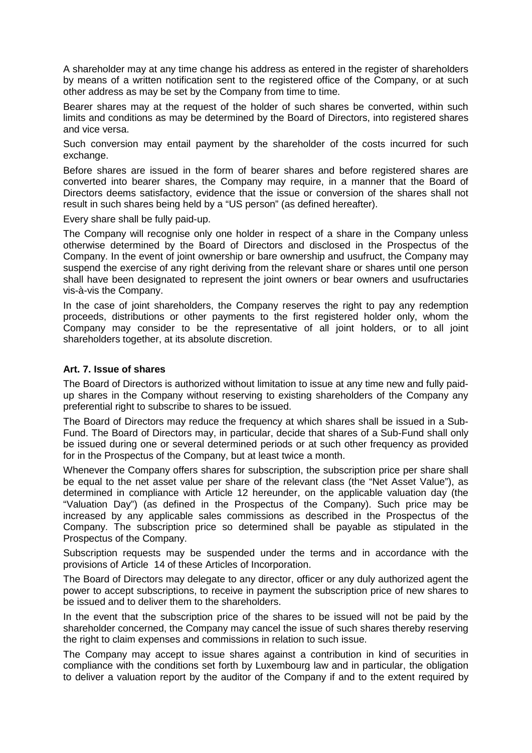A shareholder may at any time change his address as entered in the register of shareholders by means of a written notification sent to the registered office of the Company, or at such other address as may be set by the Company from time to time.

Bearer shares may at the request of the holder of such shares be converted, within such limits and conditions as may be determined by the Board of Directors, into registered shares and vice versa.

Such conversion may entail payment by the shareholder of the costs incurred for such exchange.

Before shares are issued in the form of bearer shares and before registered shares are converted into bearer shares, the Company may require, in a manner that the Board of Directors deems satisfactory, evidence that the issue or conversion of the shares shall not result in such shares being held by a "US person" (as defined hereafter).

Every share shall be fully paid-up.

The Company will recognise only one holder in respect of a share in the Company unless otherwise determined by the Board of Directors and disclosed in the Prospectus of the Company. In the event of joint ownership or bare ownership and usufruct, the Company may suspend the exercise of any right deriving from the relevant share or shares until one person shall have been designated to represent the joint owners or bear owners and usufructaries vis-à-vis the Company.

In the case of joint shareholders, the Company reserves the right to pay any redemption proceeds, distributions or other payments to the first registered holder only, whom the Company may consider to be the representative of all joint holders, or to all joint shareholders together, at its absolute discretion.

#### **Art. 7. Issue of shares**

The Board of Directors is authorized without limitation to issue at any time new and fully paidup shares in the Company without reserving to existing shareholders of the Company any preferential right to subscribe to shares to be issued.

The Board of Directors may reduce the frequency at which shares shall be issued in a Sub-Fund. The Board of Directors may, in particular, decide that shares of a Sub-Fund shall only be issued during one or several determined periods or at such other frequency as provided for in the Prospectus of the Company, but at least twice a month.

Whenever the Company offers shares for subscription, the subscription price per share shall be equal to the net asset value per share of the relevant class (the "Net Asset Value"), as determined in compliance with Article 12 hereunder, on the applicable valuation day (the "Valuation Day") (as defined in the Prospectus of the Company). Such price may be increased by any applicable sales commissions as described in the Prospectus of the Company. The subscription price so determined shall be payable as stipulated in the Prospectus of the Company.

Subscription requests may be suspended under the terms and in accordance with the provisions of Article 14 of these Articles of Incorporation.

The Board of Directors may delegate to any director, officer or any duly authorized agent the power to accept subscriptions, to receive in payment the subscription price of new shares to be issued and to deliver them to the shareholders.

In the event that the subscription price of the shares to be issued will not be paid by the shareholder concerned, the Company may cancel the issue of such shares thereby reserving the right to claim expenses and commissions in relation to such issue.

The Company may accept to issue shares against a contribution in kind of securities in compliance with the conditions set forth by Luxembourg law and in particular, the obligation to deliver a valuation report by the auditor of the Company if and to the extent required by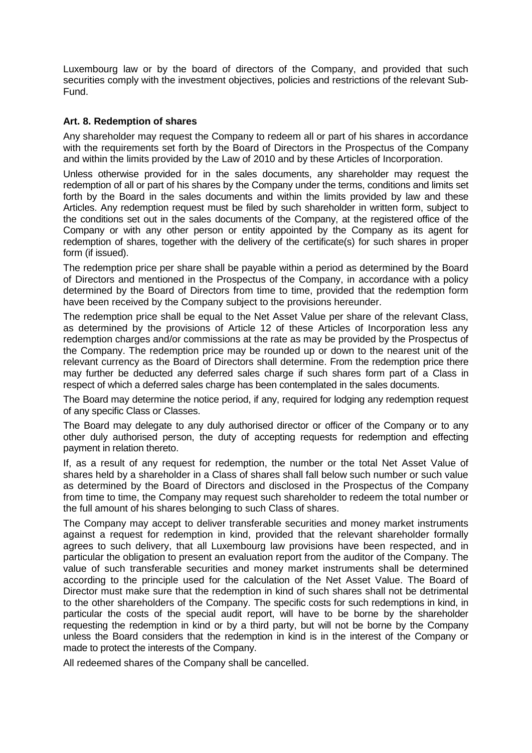Luxembourg law or by the board of directors of the Company, and provided that such securities comply with the investment objectives, policies and restrictions of the relevant Sub-Fund.

### **Art. 8. Redemption of shares**

Any shareholder may request the Company to redeem all or part of his shares in accordance with the requirements set forth by the Board of Directors in the Prospectus of the Company and within the limits provided by the Law of 2010 and by these Articles of Incorporation.

Unless otherwise provided for in the sales documents, any shareholder may request the redemption of all or part of his shares by the Company under the terms, conditions and limits set forth by the Board in the sales documents and within the limits provided by law and these Articles. Any redemption request must be filed by such shareholder in written form, subject to the conditions set out in the sales documents of the Company, at the registered office of the Company or with any other person or entity appointed by the Company as its agent for redemption of shares, together with the delivery of the certificate(s) for such shares in proper form (if issued).

The redemption price per share shall be payable within a period as determined by the Board of Directors and mentioned in the Prospectus of the Company, in accordance with a policy determined by the Board of Directors from time to time, provided that the redemption form have been received by the Company subject to the provisions hereunder.

The redemption price shall be equal to the Net Asset Value per share of the relevant Class, as determined by the provisions of Article 12 of these Articles of Incorporation less any redemption charges and/or commissions at the rate as may be provided by the Prospectus of the Company. The redemption price may be rounded up or down to the nearest unit of the relevant currency as the Board of Directors shall determine. From the redemption price there may further be deducted any deferred sales charge if such shares form part of a Class in respect of which a deferred sales charge has been contemplated in the sales documents.

The Board may determine the notice period, if any, required for lodging any redemption request of any specific Class or Classes.

The Board may delegate to any duly authorised director or officer of the Company or to any other duly authorised person, the duty of accepting requests for redemption and effecting payment in relation thereto.

If, as a result of any request for redemption, the number or the total Net Asset Value of shares held by a shareholder in a Class of shares shall fall below such number or such value as determined by the Board of Directors and disclosed in the Prospectus of the Company from time to time, the Company may request such shareholder to redeem the total number or the full amount of his shares belonging to such Class of shares.

The Company may accept to deliver transferable securities and money market instruments against a request for redemption in kind, provided that the relevant shareholder formally agrees to such delivery, that all Luxembourg law provisions have been respected, and in particular the obligation to present an evaluation report from the auditor of the Company. The value of such transferable securities and money market instruments shall be determined according to the principle used for the calculation of the Net Asset Value. The Board of Director must make sure that the redemption in kind of such shares shall not be detrimental to the other shareholders of the Company. The specific costs for such redemptions in kind, in particular the costs of the special audit report, will have to be borne by the shareholder requesting the redemption in kind or by a third party, but will not be borne by the Company unless the Board considers that the redemption in kind is in the interest of the Company or made to protect the interests of the Company.

All redeemed shares of the Company shall be cancelled.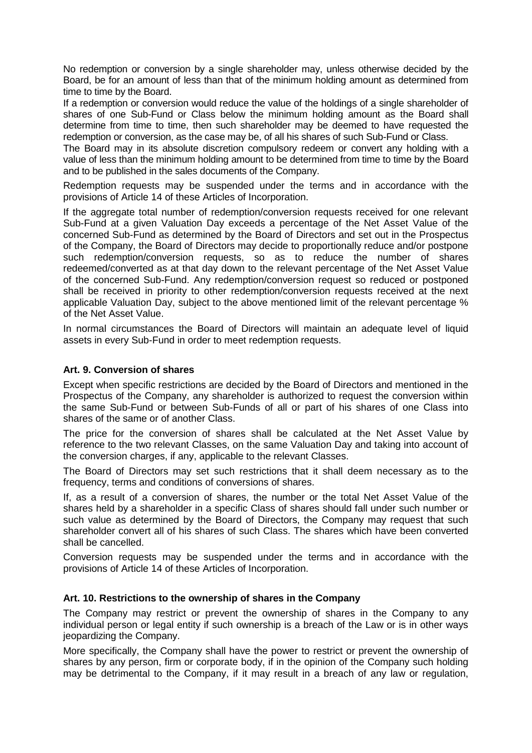No redemption or conversion by a single shareholder may, unless otherwise decided by the Board, be for an amount of less than that of the minimum holding amount as determined from time to time by the Board.

If a redemption or conversion would reduce the value of the holdings of a single shareholder of shares of one Sub-Fund or Class below the minimum holding amount as the Board shall determine from time to time, then such shareholder may be deemed to have requested the redemption or conversion, as the case may be, of all his shares of such Sub-Fund or Class.

The Board may in its absolute discretion compulsory redeem or convert any holding with a value of less than the minimum holding amount to be determined from time to time by the Board and to be published in the sales documents of the Company.

Redemption requests may be suspended under the terms and in accordance with the provisions of Article 14 of these Articles of Incorporation.

If the aggregate total number of redemption/conversion requests received for one relevant Sub-Fund at a given Valuation Day exceeds a percentage of the Net Asset Value of the concerned Sub-Fund as determined by the Board of Directors and set out in the Prospectus of the Company, the Board of Directors may decide to proportionally reduce and/or postpone such redemption/conversion requests, so as to reduce the number of shares redeemed/converted as at that day down to the relevant percentage of the Net Asset Value of the concerned Sub-Fund. Any redemption/conversion request so reduced or postponed shall be received in priority to other redemption/conversion requests received at the next applicable Valuation Day, subject to the above mentioned limit of the relevant percentage % of the Net Asset Value.

In normal circumstances the Board of Directors will maintain an adequate level of liquid assets in every Sub-Fund in order to meet redemption requests.

### **Art. 9. Conversion of shares**

Except when specific restrictions are decided by the Board of Directors and mentioned in the Prospectus of the Company, any shareholder is authorized to request the conversion within the same Sub-Fund or between Sub-Funds of all or part of his shares of one Class into shares of the same or of another Class.

The price for the conversion of shares shall be calculated at the Net Asset Value by reference to the two relevant Classes, on the same Valuation Day and taking into account of the conversion charges, if any, applicable to the relevant Classes.

The Board of Directors may set such restrictions that it shall deem necessary as to the frequency, terms and conditions of conversions of shares.

If, as a result of a conversion of shares, the number or the total Net Asset Value of the shares held by a shareholder in a specific Class of shares should fall under such number or such value as determined by the Board of Directors, the Company may request that such shareholder convert all of his shares of such Class. The shares which have been converted shall be cancelled.

Conversion requests may be suspended under the terms and in accordance with the provisions of Article 14 of these Articles of Incorporation.

### **Art. 10. Restrictions to the ownership of shares in the Company**

The Company may restrict or prevent the ownership of shares in the Company to any individual person or legal entity if such ownership is a breach of the Law or is in other ways jeopardizing the Company.

More specifically, the Company shall have the power to restrict or prevent the ownership of shares by any person, firm or corporate body, if in the opinion of the Company such holding may be detrimental to the Company, if it may result in a breach of any law or regulation,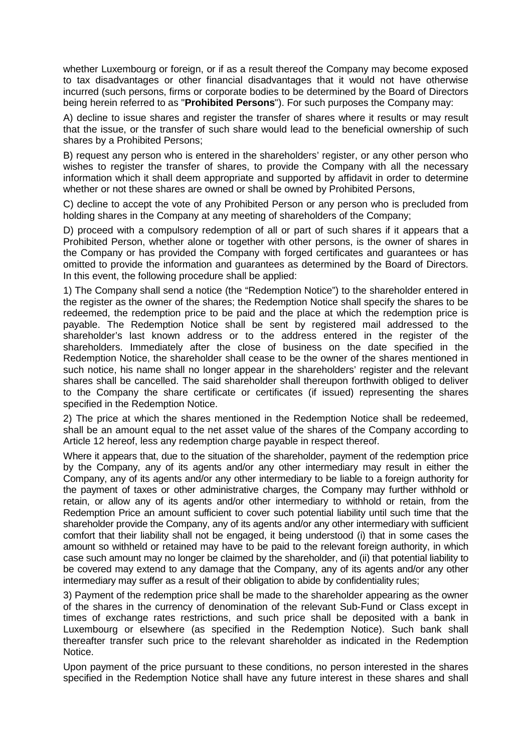whether Luxembourg or foreign, or if as a result thereof the Company may become exposed to tax disadvantages or other financial disadvantages that it would not have otherwise incurred (such persons, firms or corporate bodies to be determined by the Board of Directors being herein referred to as "**Prohibited Persons**"). For such purposes the Company may:

A) decline to issue shares and register the transfer of shares where it results or may result that the issue, or the transfer of such share would lead to the beneficial ownership of such shares by a Prohibited Persons;

B) request any person who is entered in the shareholders' register, or any other person who wishes to register the transfer of shares, to provide the Company with all the necessary information which it shall deem appropriate and supported by affidavit in order to determine whether or not these shares are owned or shall be owned by Prohibited Persons,

C) decline to accept the vote of any Prohibited Person or any person who is precluded from holding shares in the Company at any meeting of shareholders of the Company;

D) proceed with a compulsory redemption of all or part of such shares if it appears that a Prohibited Person, whether alone or together with other persons, is the owner of shares in the Company or has provided the Company with forged certificates and guarantees or has omitted to provide the information and guarantees as determined by the Board of Directors. In this event, the following procedure shall be applied:

1) The Company shall send a notice (the "Redemption Notice") to the shareholder entered in the register as the owner of the shares; the Redemption Notice shall specify the shares to be redeemed, the redemption price to be paid and the place at which the redemption price is payable. The Redemption Notice shall be sent by registered mail addressed to the shareholder's last known address or to the address entered in the register of the shareholders. Immediately after the close of business on the date specified in the Redemption Notice, the shareholder shall cease to be the owner of the shares mentioned in such notice, his name shall no longer appear in the shareholders' register and the relevant shares shall be cancelled. The said shareholder shall thereupon forthwith obliged to deliver to the Company the share certificate or certificates (if issued) representing the shares specified in the Redemption Notice.

2) The price at which the shares mentioned in the Redemption Notice shall be redeemed, shall be an amount equal to the net asset value of the shares of the Company according to Article 12 hereof, less any redemption charge payable in respect thereof.

Where it appears that, due to the situation of the shareholder, payment of the redemption price by the Company, any of its agents and/or any other intermediary may result in either the Company, any of its agents and/or any other intermediary to be liable to a foreign authority for the payment of taxes or other administrative charges, the Company may further withhold or retain, or allow any of its agents and/or other intermediary to withhold or retain, from the Redemption Price an amount sufficient to cover such potential liability until such time that the shareholder provide the Company, any of its agents and/or any other intermediary with sufficient comfort that their liability shall not be engaged, it being understood (i) that in some cases the amount so withheld or retained may have to be paid to the relevant foreign authority, in which case such amount may no longer be claimed by the shareholder, and (ii) that potential liability to be covered may extend to any damage that the Company, any of its agents and/or any other intermediary may suffer as a result of their obligation to abide by confidentiality rules;

3) Payment of the redemption price shall be made to the shareholder appearing as the owner of the shares in the currency of denomination of the relevant Sub-Fund or Class except in times of exchange rates restrictions, and such price shall be deposited with a bank in Luxembourg or elsewhere (as specified in the Redemption Notice). Such bank shall thereafter transfer such price to the relevant shareholder as indicated in the Redemption Notice.

Upon payment of the price pursuant to these conditions, no person interested in the shares specified in the Redemption Notice shall have any future interest in these shares and shall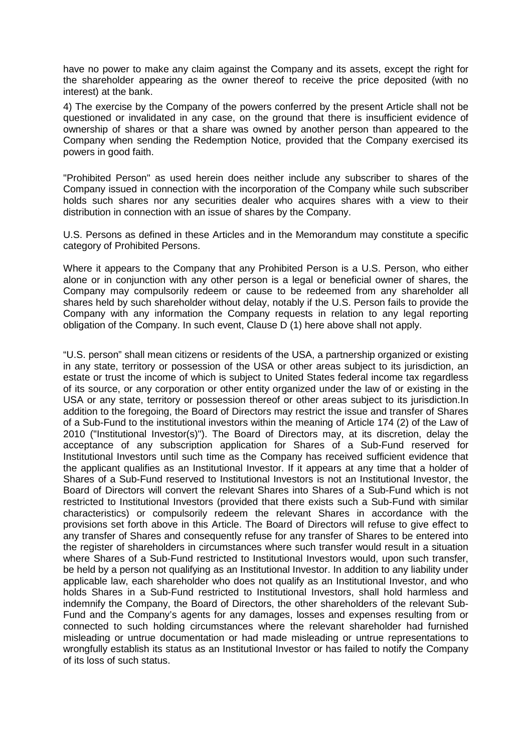have no power to make any claim against the Company and its assets, except the right for the shareholder appearing as the owner thereof to receive the price deposited (with no interest) at the bank.

4) The exercise by the Company of the powers conferred by the present Article shall not be questioned or invalidated in any case, on the ground that there is insufficient evidence of ownership of shares or that a share was owned by another person than appeared to the Company when sending the Redemption Notice, provided that the Company exercised its powers in good faith.

"Prohibited Person" as used herein does neither include any subscriber to shares of the Company issued in connection with the incorporation of the Company while such subscriber holds such shares nor any securities dealer who acquires shares with a view to their distribution in connection with an issue of shares by the Company.

U.S. Persons as defined in these Articles and in the Memorandum may constitute a specific category of Prohibited Persons.

Where it appears to the Company that any Prohibited Person is a U.S. Person, who either alone or in conjunction with any other person is a legal or beneficial owner of shares, the Company may compulsorily redeem or cause to be redeemed from any shareholder all shares held by such shareholder without delay, notably if the U.S. Person fails to provide the Company with any information the Company requests in relation to any legal reporting obligation of the Company. In such event, Clause D (1) here above shall not apply.

"U.S. person" shall mean citizens or residents of the USA, a partnership organized or existing in any state, territory or possession of the USA or other areas subject to its jurisdiction, an estate or trust the income of which is subject to United States federal income tax regardless of its source, or any corporation or other entity organized under the law of or existing in the USA or any state, territory or possession thereof or other areas subject to its jurisdiction.In addition to the foregoing, the Board of Directors may restrict the issue and transfer of Shares of a Sub-Fund to the institutional investors within the meaning of Article 174 (2) of the Law of 2010 ("Institutional Investor(s)"). The Board of Directors may, at its discretion, delay the acceptance of any subscription application for Shares of a Sub-Fund reserved for Institutional Investors until such time as the Company has received sufficient evidence that the applicant qualifies as an Institutional Investor. If it appears at any time that a holder of Shares of a Sub-Fund reserved to Institutional Investors is not an Institutional Investor, the Board of Directors will convert the relevant Shares into Shares of a Sub-Fund which is not restricted to Institutional Investors (provided that there exists such a Sub-Fund with similar characteristics) or compulsorily redeem the relevant Shares in accordance with the provisions set forth above in this Article. The Board of Directors will refuse to give effect to any transfer of Shares and consequently refuse for any transfer of Shares to be entered into the register of shareholders in circumstances where such transfer would result in a situation where Shares of a Sub-Fund restricted to Institutional Investors would, upon such transfer, be held by a person not qualifying as an Institutional Investor. In addition to any liability under applicable law, each shareholder who does not qualify as an Institutional Investor, and who holds Shares in a Sub-Fund restricted to Institutional Investors, shall hold harmless and indemnify the Company, the Board of Directors, the other shareholders of the relevant Sub-Fund and the Company's agents for any damages, losses and expenses resulting from or connected to such holding circumstances where the relevant shareholder had furnished misleading or untrue documentation or had made misleading or untrue representations to wrongfully establish its status as an Institutional Investor or has failed to notify the Company of its loss of such status.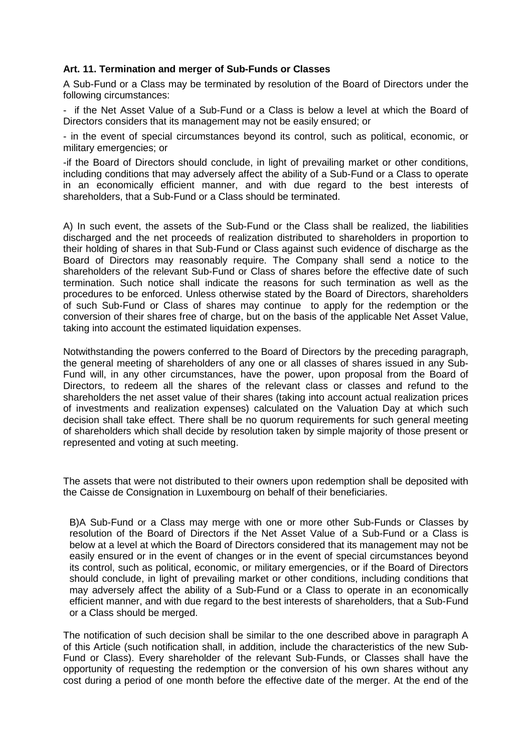### **Art. 11. Termination and merger of Sub-Funds or Classes**

A Sub-Fund or a Class may be terminated by resolution of the Board of Directors under the following circumstances:

- if the Net Asset Value of a Sub-Fund or a Class is below a level at which the Board of Directors considers that its management may not be easily ensured; or

- in the event of special circumstances beyond its control, such as political, economic, or military emergencies; or

-if the Board of Directors should conclude, in light of prevailing market or other conditions, including conditions that may adversely affect the ability of a Sub-Fund or a Class to operate in an economically efficient manner, and with due regard to the best interests of shareholders, that a Sub-Fund or a Class should be terminated.

A) In such event, the assets of the Sub-Fund or the Class shall be realized, the liabilities discharged and the net proceeds of realization distributed to shareholders in proportion to their holding of shares in that Sub-Fund or Class against such evidence of discharge as the Board of Directors may reasonably require. The Company shall send a notice to the shareholders of the relevant Sub-Fund or Class of shares before the effective date of such termination. Such notice shall indicate the reasons for such termination as well as the procedures to be enforced. Unless otherwise stated by the Board of Directors, shareholders of such Sub-Fund or Class of shares may continue to apply for the redemption or the conversion of their shares free of charge, but on the basis of the applicable Net Asset Value, taking into account the estimated liquidation expenses.

Notwithstanding the powers conferred to the Board of Directors by the preceding paragraph, the general meeting of shareholders of any one or all classes of shares issued in any Sub-Fund will, in any other circumstances, have the power, upon proposal from the Board of Directors, to redeem all the shares of the relevant class or classes and refund to the shareholders the net asset value of their shares (taking into account actual realization prices of investments and realization expenses) calculated on the Valuation Day at which such decision shall take effect. There shall be no quorum requirements for such general meeting of shareholders which shall decide by resolution taken by simple majority of those present or represented and voting at such meeting.

The assets that were not distributed to their owners upon redemption shall be deposited with the Caisse de Consignation in Luxembourg on behalf of their beneficiaries.

B)A Sub-Fund or a Class may merge with one or more other Sub-Funds or Classes by resolution of the Board of Directors if the Net Asset Value of a Sub-Fund or a Class is below at a level at which the Board of Directors considered that its management may not be easily ensured or in the event of changes or in the event of special circumstances beyond its control, such as political, economic, or military emergencies, or if the Board of Directors should conclude, in light of prevailing market or other conditions, including conditions that may adversely affect the ability of a Sub-Fund or a Class to operate in an economically efficient manner, and with due regard to the best interests of shareholders, that a Sub-Fund or a Class should be merged.

The notification of such decision shall be similar to the one described above in paragraph A of this Article (such notification shall, in addition, include the characteristics of the new Sub-Fund or Class). Every shareholder of the relevant Sub-Funds, or Classes shall have the opportunity of requesting the redemption or the conversion of his own shares without any cost during a period of one month before the effective date of the merger. At the end of the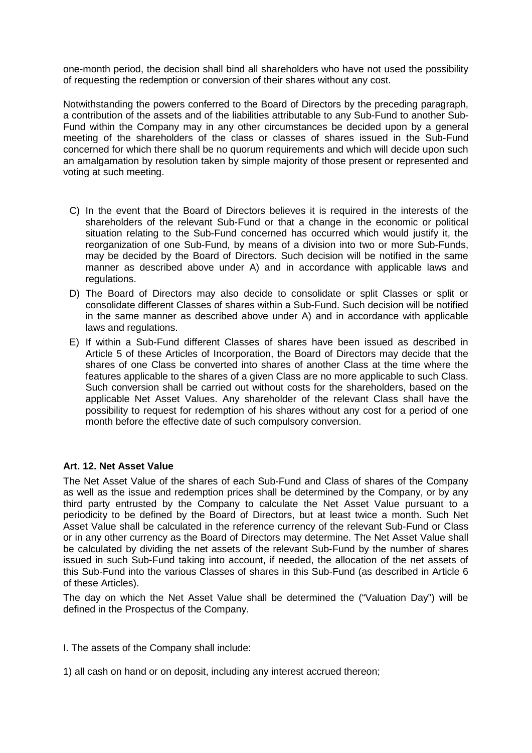one-month period, the decision shall bind all shareholders who have not used the possibility of requesting the redemption or conversion of their shares without any cost.

Notwithstanding the powers conferred to the Board of Directors by the preceding paragraph, a contribution of the assets and of the liabilities attributable to any Sub-Fund to another Sub-Fund within the Company may in any other circumstances be decided upon by a general meeting of the shareholders of the class or classes of shares issued in the Sub-Fund concerned for which there shall be no quorum requirements and which will decide upon such an amalgamation by resolution taken by simple majority of those present or represented and voting at such meeting.

- C) In the event that the Board of Directors believes it is required in the interests of the shareholders of the relevant Sub-Fund or that a change in the economic or political situation relating to the Sub-Fund concerned has occurred which would justify it, the reorganization of one Sub-Fund, by means of a division into two or more Sub-Funds, may be decided by the Board of Directors. Such decision will be notified in the same manner as described above under A) and in accordance with applicable laws and regulations.
- D) The Board of Directors may also decide to consolidate or split Classes or split or consolidate different Classes of shares within a Sub-Fund. Such decision will be notified in the same manner as described above under A) and in accordance with applicable laws and regulations.
- E) If within a Sub-Fund different Classes of shares have been issued as described in Article 5 of these Articles of Incorporation, the Board of Directors may decide that the shares of one Class be converted into shares of another Class at the time where the features applicable to the shares of a given Class are no more applicable to such Class. Such conversion shall be carried out without costs for the shareholders, based on the applicable Net Asset Values. Any shareholder of the relevant Class shall have the possibility to request for redemption of his shares without any cost for a period of one month before the effective date of such compulsory conversion.

### **Art. 12. Net Asset Value**

The Net Asset Value of the shares of each Sub-Fund and Class of shares of the Company as well as the issue and redemption prices shall be determined by the Company, or by any third party entrusted by the Company to calculate the Net Asset Value pursuant to a periodicity to be defined by the Board of Directors, but at least twice a month. Such Net Asset Value shall be calculated in the reference currency of the relevant Sub-Fund or Class or in any other currency as the Board of Directors may determine. The Net Asset Value shall be calculated by dividing the net assets of the relevant Sub-Fund by the number of shares issued in such Sub-Fund taking into account, if needed, the allocation of the net assets of this Sub-Fund into the various Classes of shares in this Sub-Fund (as described in Article 6 of these Articles).

The day on which the Net Asset Value shall be determined the ("Valuation Day") will be defined in the Prospectus of the Company.

I. The assets of the Company shall include:

1) all cash on hand or on deposit, including any interest accrued thereon;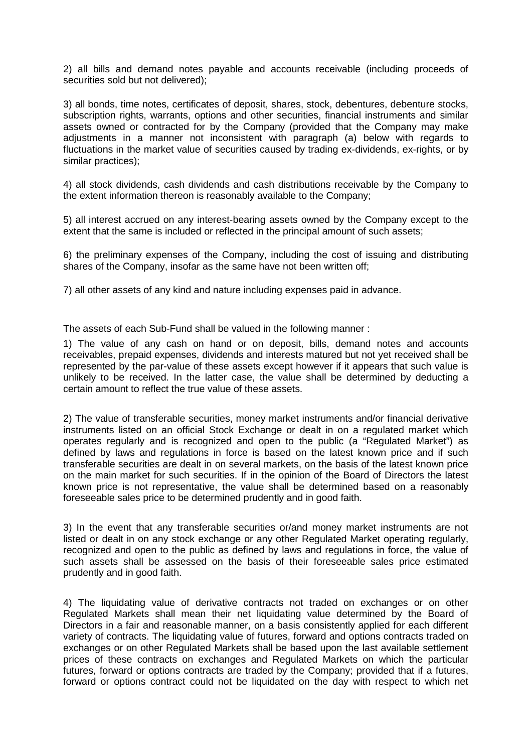2) all bills and demand notes payable and accounts receivable (including proceeds of securities sold but not delivered);

3) all bonds, time notes, certificates of deposit, shares, stock, debentures, debenture stocks, subscription rights, warrants, options and other securities, financial instruments and similar assets owned or contracted for by the Company (provided that the Company may make adjustments in a manner not inconsistent with paragraph (a) below with regards to fluctuations in the market value of securities caused by trading ex-dividends, ex-rights, or by similar practices);

4) all stock dividends, cash dividends and cash distributions receivable by the Company to the extent information thereon is reasonably available to the Company;

5) all interest accrued on any interest-bearing assets owned by the Company except to the extent that the same is included or reflected in the principal amount of such assets;

6) the preliminary expenses of the Company, including the cost of issuing and distributing shares of the Company, insofar as the same have not been written off;

7) all other assets of any kind and nature including expenses paid in advance.

The assets of each Sub-Fund shall be valued in the following manner :

1) The value of any cash on hand or on deposit, bills, demand notes and accounts receivables, prepaid expenses, dividends and interests matured but not yet received shall be represented by the par-value of these assets except however if it appears that such value is unlikely to be received. In the latter case, the value shall be determined by deducting a certain amount to reflect the true value of these assets.

2) The value of transferable securities, money market instruments and/or financial derivative instruments listed on an official Stock Exchange or dealt in on a regulated market which operates regularly and is recognized and open to the public (a "Regulated Market") as defined by laws and regulations in force is based on the latest known price and if such transferable securities are dealt in on several markets, on the basis of the latest known price on the main market for such securities. If in the opinion of the Board of Directors the latest known price is not representative, the value shall be determined based on a reasonably foreseeable sales price to be determined prudently and in good faith.

3) In the event that any transferable securities or/and money market instruments are not listed or dealt in on any stock exchange or any other Regulated Market operating regularly, recognized and open to the public as defined by laws and regulations in force, the value of such assets shall be assessed on the basis of their foreseeable sales price estimated prudently and in good faith.

4) The liquidating value of derivative contracts not traded on exchanges or on other Regulated Markets shall mean their net liquidating value determined by the Board of Directors in a fair and reasonable manner, on a basis consistently applied for each different variety of contracts. The liquidating value of futures, forward and options contracts traded on exchanges or on other Regulated Markets shall be based upon the last available settlement prices of these contracts on exchanges and Regulated Markets on which the particular futures, forward or options contracts are traded by the Company; provided that if a futures, forward or options contract could not be liquidated on the day with respect to which net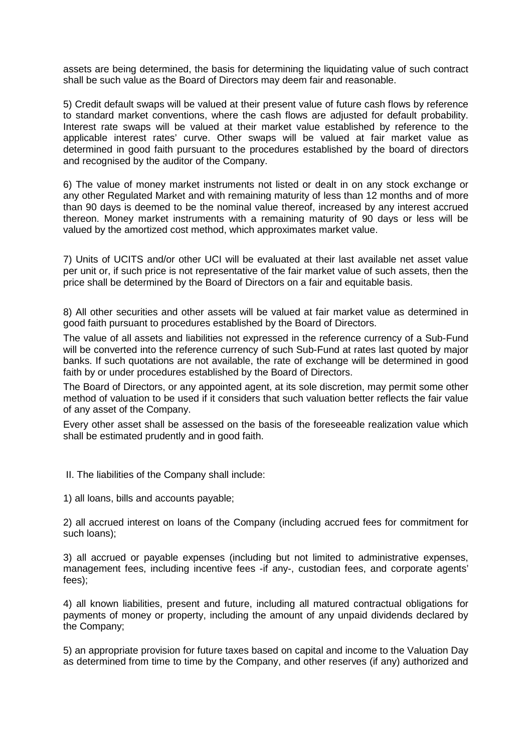assets are being determined, the basis for determining the liquidating value of such contract shall be such value as the Board of Directors may deem fair and reasonable.

5) Credit default swaps will be valued at their present value of future cash flows by reference to standard market conventions, where the cash flows are adjusted for default probability. Interest rate swaps will be valued at their market value established by reference to the applicable interest rates' curve. Other swaps will be valued at fair market value as determined in good faith pursuant to the procedures established by the board of directors and recognised by the auditor of the Company.

6) The value of money market instruments not listed or dealt in on any stock exchange or any other Regulated Market and with remaining maturity of less than 12 months and of more than 90 days is deemed to be the nominal value thereof, increased by any interest accrued thereon. Money market instruments with a remaining maturity of 90 days or less will be valued by the amortized cost method, which approximates market value.

7) Units of UCITS and/or other UCI will be evaluated at their last available net asset value per unit or, if such price is not representative of the fair market value of such assets, then the price shall be determined by the Board of Directors on a fair and equitable basis.

8) All other securities and other assets will be valued at fair market value as determined in good faith pursuant to procedures established by the Board of Directors.

The value of all assets and liabilities not expressed in the reference currency of a Sub-Fund will be converted into the reference currency of such Sub-Fund at rates last quoted by major banks. If such quotations are not available, the rate of exchange will be determined in good faith by or under procedures established by the Board of Directors.

The Board of Directors, or any appointed agent, at its sole discretion, may permit some other method of valuation to be used if it considers that such valuation better reflects the fair value of any asset of the Company.

Every other asset shall be assessed on the basis of the foreseeable realization value which shall be estimated prudently and in good faith.

II. The liabilities of the Company shall include:

1) all loans, bills and accounts payable;

2) all accrued interest on loans of the Company (including accrued fees for commitment for such loans);

3) all accrued or payable expenses (including but not limited to administrative expenses, management fees, including incentive fees -if any-, custodian fees, and corporate agents' fees);

4) all known liabilities, present and future, including all matured contractual obligations for payments of money or property, including the amount of any unpaid dividends declared by the Company;

5) an appropriate provision for future taxes based on capital and income to the Valuation Day as determined from time to time by the Company, and other reserves (if any) authorized and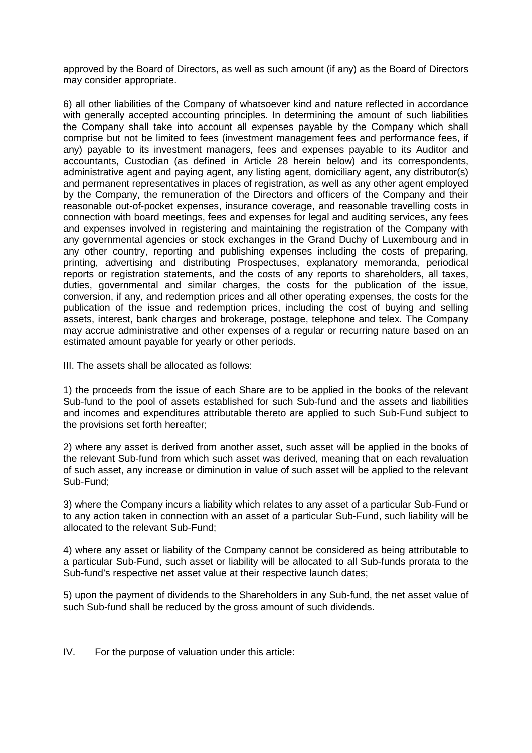approved by the Board of Directors, as well as such amount (if any) as the Board of Directors may consider appropriate.

6) all other liabilities of the Company of whatsoever kind and nature reflected in accordance with generally accepted accounting principles. In determining the amount of such liabilities the Company shall take into account all expenses payable by the Company which shall comprise but not be limited to fees (investment management fees and performance fees, if any) payable to its investment managers, fees and expenses payable to its Auditor and accountants, Custodian (as defined in Article 28 herein below) and its correspondents, administrative agent and paying agent, any listing agent, domiciliary agent, any distributor(s) and permanent representatives in places of registration, as well as any other agent employed by the Company, the remuneration of the Directors and officers of the Company and their reasonable out-of-pocket expenses, insurance coverage, and reasonable travelling costs in connection with board meetings, fees and expenses for legal and auditing services, any fees and expenses involved in registering and maintaining the registration of the Company with any governmental agencies or stock exchanges in the Grand Duchy of Luxembourg and in any other country, reporting and publishing expenses including the costs of preparing, printing, advertising and distributing Prospectuses, explanatory memoranda, periodical reports or registration statements, and the costs of any reports to shareholders, all taxes, duties, governmental and similar charges, the costs for the publication of the issue, conversion, if any, and redemption prices and all other operating expenses, the costs for the publication of the issue and redemption prices, including the cost of buying and selling assets, interest, bank charges and brokerage, postage, telephone and telex. The Company may accrue administrative and other expenses of a regular or recurring nature based on an estimated amount payable for yearly or other periods.

III. The assets shall be allocated as follows:

1) the proceeds from the issue of each Share are to be applied in the books of the relevant Sub-fund to the pool of assets established for such Sub-fund and the assets and liabilities and incomes and expenditures attributable thereto are applied to such Sub-Fund subject to the provisions set forth hereafter;

2) where any asset is derived from another asset, such asset will be applied in the books of the relevant Sub-fund from which such asset was derived, meaning that on each revaluation of such asset, any increase or diminution in value of such asset will be applied to the relevant Sub-Fund;

3) where the Company incurs a liability which relates to any asset of a particular Sub-Fund or to any action taken in connection with an asset of a particular Sub-Fund, such liability will be allocated to the relevant Sub-Fund;

4) where any asset or liability of the Company cannot be considered as being attributable to a particular Sub-Fund, such asset or liability will be allocated to all Sub-funds prorata to the Sub-fund's respective net asset value at their respective launch dates;

5) upon the payment of dividends to the Shareholders in any Sub-fund, the net asset value of such Sub-fund shall be reduced by the gross amount of such dividends.

IV. For the purpose of valuation under this article: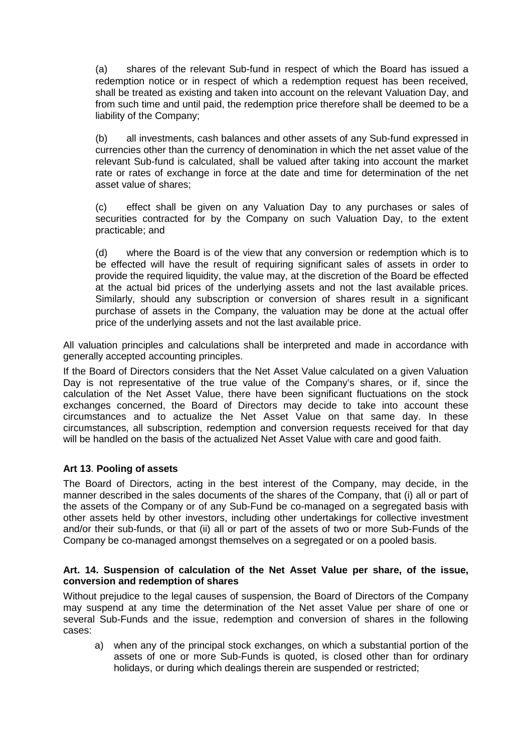(a) shares of the relevant Sub-fund in respect of which the Board has issued a redemption notice or in respect of which a redemption request has been received, shall be treated as existing and taken into account on the relevant Valuation Day, and from such time and until paid, the redemption price therefore shall be deemed to be a liability of the Company;

(b) all investments, cash balances and other assets of any Sub-fund expressed in currencies other than the currency of denomination in which the net asset value of the relevant Sub-fund is calculated, shall be valued after taking into account the market rate or rates of exchange in force at the date and time for determination of the net asset value of shares;

(c) effect shall be given on any Valuation Day to any purchases or sales of securities contracted for by the Company on such Valuation Day, to the extent practicable; and

(d) where the Board is of the view that any conversion or redemption which is to be effected will have the result of requiring significant sales of assets in order to provide the required liquidity, the value may, at the discretion of the Board be effected at the actual bid prices of the underlying assets and not the last available prices. Similarly, should any subscription or conversion of shares result in a significant purchase of assets in the Company, the valuation may be done at the actual offer price of the underlying assets and not the last available price.

All valuation principles and calculations shall be interpreted and made in accordance with generally accepted accounting principles.

If the Board of Directors considers that the Net Asset Value calculated on a given Valuation Day is not representative of the true value of the Company's shares, or if, since the calculation of the Net Asset Value, there have been significant fluctuations on the stock exchanges concerned, the Board of Directors may decide to take into account these circumstances and to actualize the Net Asset Value on that same day. In these circumstances, all subscription, redemption and conversion requests received for that day will be handled on the basis of the actualized Net Asset Value with care and good faith.

### **Art 13**. **Pooling of assets**

The Board of Directors, acting in the best interest of the Company, may decide, in the manner described in the sales documents of the shares of the Company, that (i) all or part of the assets of the Company or of any Sub-Fund be co-managed on a segregated basis with other assets held by other investors, including other undertakings for collective investment and/or their sub-funds, or that (ii) all or part of the assets of two or more Sub-Funds of the Company be co-managed amongst themselves on a segregated or on a pooled basis.

#### **Art. 14. Suspension of calculation of the Net Asset Value per share, of the issue, conversion and redemption of shares**

Without prejudice to the legal causes of suspension, the Board of Directors of the Company may suspend at any time the determination of the Net asset Value per share of one or several Sub-Funds and the issue, redemption and conversion of shares in the following cases:

a) when any of the principal stock exchanges, on which a substantial portion of the assets of one or more Sub-Funds is quoted, is closed other than for ordinary holidays, or during which dealings therein are suspended or restricted;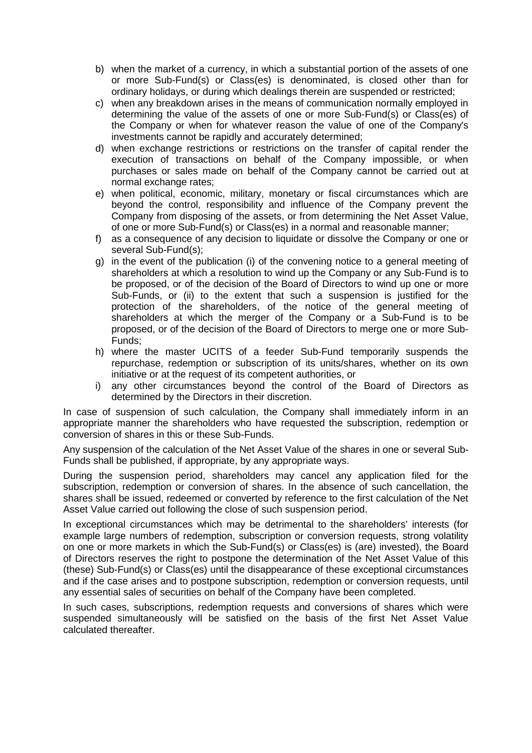- b) when the market of a currency, in which a substantial portion of the assets of one or more Sub-Fund(s) or Class(es) is denominated, is closed other than for ordinary holidays, or during which dealings therein are suspended or restricted;
- c) when any breakdown arises in the means of communication normally employed in determining the value of the assets of one or more Sub-Fund(s) or Class(es) of the Company or when for whatever reason the value of one of the Company's investments cannot be rapidly and accurately determined;
- d) when exchange restrictions or restrictions on the transfer of capital render the execution of transactions on behalf of the Company impossible, or when purchases or sales made on behalf of the Company cannot be carried out at normal exchange rates;
- e) when political, economic, military, monetary or fiscal circumstances which are beyond the control, responsibility and influence of the Company prevent the Company from disposing of the assets, or from determining the Net Asset Value, of one or more Sub-Fund(s) or Class(es) in a normal and reasonable manner;
- f) as a consequence of any decision to liquidate or dissolve the Company or one or several Sub-Fund(s);
- g) in the event of the publication (i) of the convening notice to a general meeting of shareholders at which a resolution to wind up the Company or any Sub-Fund is to be proposed, or of the decision of the Board of Directors to wind up one or more Sub-Funds, or (ii) to the extent that such a suspension is justified for the protection of the shareholders, of the notice of the general meeting of shareholders at which the merger of the Company or a Sub-Fund is to be proposed, or of the decision of the Board of Directors to merge one or more Sub-Funds;
- h) where the master UCITS of a feeder Sub-Fund temporarily suspends the repurchase, redemption or subscription of its units/shares, whether on its own initiative or at the request of its competent authorities, or
- i) any other circumstances beyond the control of the Board of Directors as determined by the Directors in their discretion.

In case of suspension of such calculation, the Company shall immediately inform in an appropriate manner the shareholders who have requested the subscription, redemption or conversion of shares in this or these Sub-Funds.

Any suspension of the calculation of the Net Asset Value of the shares in one or several Sub-Funds shall be published, if appropriate, by any appropriate ways.

During the suspension period, shareholders may cancel any application filed for the subscription, redemption or conversion of shares. In the absence of such cancellation, the shares shall be issued, redeemed or converted by reference to the first calculation of the Net Asset Value carried out following the close of such suspension period.

In exceptional circumstances which may be detrimental to the shareholders' interests (for example large numbers of redemption, subscription or conversion requests, strong volatility on one or more markets in which the Sub-Fund(s) or Class(es) is (are) invested), the Board of Directors reserves the right to postpone the determination of the Net Asset Value of this (these) Sub-Fund(s) or Class(es) until the disappearance of these exceptional circumstances and if the case arises and to postpone subscription, redemption or conversion requests, until any essential sales of securities on behalf of the Company have been completed.

In such cases, subscriptions, redemption requests and conversions of shares which were suspended simultaneously will be satisfied on the basis of the first Net Asset Value calculated thereafter.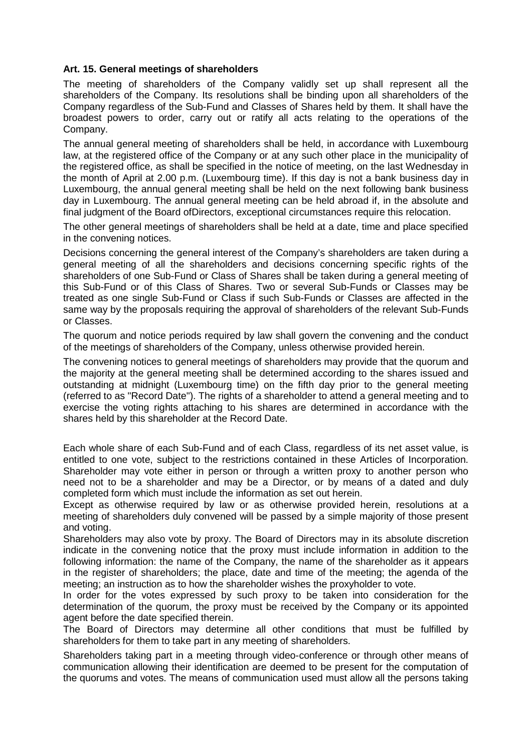### **Art. 15. General meetings of shareholders**

The meeting of shareholders of the Company validly set up shall represent all the shareholders of the Company. Its resolutions shall be binding upon all shareholders of the Company regardless of the Sub-Fund and Classes of Shares held by them. It shall have the broadest powers to order, carry out or ratify all acts relating to the operations of the Company.

The annual general meeting of shareholders shall be held, in accordance with Luxembourg law, at the registered office of the Company or at any such other place in the municipality of the registered office, as shall be specified in the notice of meeting, on the last Wednesday in the month of April at 2.00 p.m. (Luxembourg time). If this day is not a bank business day in Luxembourg, the annual general meeting shall be held on the next following bank business day in Luxembourg. The annual general meeting can be held abroad if, in the absolute and final judgment of the Board ofDirectors, exceptional circumstances require this relocation.

The other general meetings of shareholders shall be held at a date, time and place specified in the convening notices.

Decisions concerning the general interest of the Company's shareholders are taken during a general meeting of all the shareholders and decisions concerning specific rights of the shareholders of one Sub-Fund or Class of Shares shall be taken during a general meeting of this Sub-Fund or of this Class of Shares. Two or several Sub-Funds or Classes may be treated as one single Sub-Fund or Class if such Sub-Funds or Classes are affected in the same way by the proposals requiring the approval of shareholders of the relevant Sub-Funds or Classes.

The quorum and notice periods required by law shall govern the convening and the conduct of the meetings of shareholders of the Company, unless otherwise provided herein.

The convening notices to general meetings of shareholders may provide that the quorum and the majority at the general meeting shall be determined according to the shares issued and outstanding at midnight (Luxembourg time) on the fifth day prior to the general meeting (referred to as "Record Date"). The rights of a shareholder to attend a general meeting and to exercise the voting rights attaching to his shares are determined in accordance with the shares held by this shareholder at the Record Date.

Each whole share of each Sub-Fund and of each Class, regardless of its net asset value, is entitled to one vote, subject to the restrictions contained in these Articles of Incorporation. Shareholder may vote either in person or through a written proxy to another person who need not to be a shareholder and may be a Director, or by means of a dated and duly completed form which must include the information as set out herein.

Except as otherwise required by law or as otherwise provided herein, resolutions at a meeting of shareholders duly convened will be passed by a simple majority of those present and voting.

Shareholders may also vote by proxy. The Board of Directors may in its absolute discretion indicate in the convening notice that the proxy must include information in addition to the following information: the name of the Company, the name of the shareholder as it appears in the register of shareholders; the place, date and time of the meeting; the agenda of the meeting; an instruction as to how the shareholder wishes the proxyholder to vote.

In order for the votes expressed by such proxy to be taken into consideration for the determination of the quorum, the proxy must be received by the Company or its appointed agent before the date specified therein.

The Board of Directors may determine all other conditions that must be fulfilled by shareholders for them to take part in any meeting of shareholders.

Shareholders taking part in a meeting through video-conference or through other means of communication allowing their identification are deemed to be present for the computation of the quorums and votes. The means of communication used must allow all the persons taking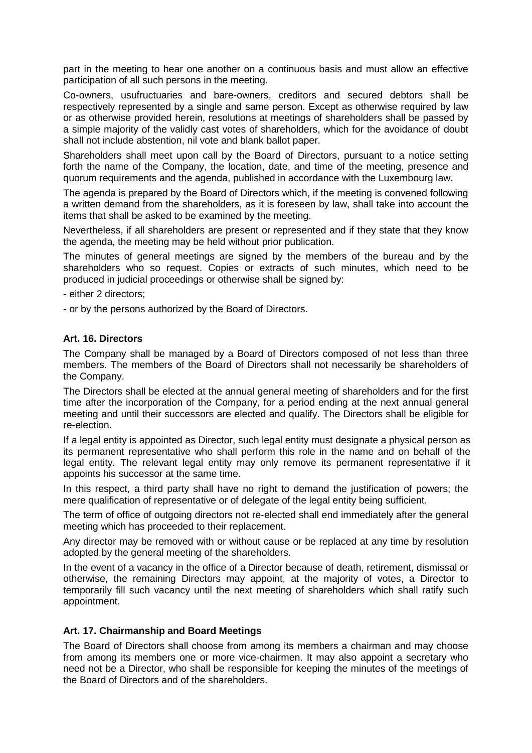part in the meeting to hear one another on a continuous basis and must allow an effective participation of all such persons in the meeting.

Co-owners, usufructuaries and bare-owners, creditors and secured debtors shall be respectively represented by a single and same person. Except as otherwise required by law or as otherwise provided herein, resolutions at meetings of shareholders shall be passed by a simple majority of the validly cast votes of shareholders, which for the avoidance of doubt shall not include abstention, nil vote and blank ballot paper.

Shareholders shall meet upon call by the Board of Directors, pursuant to a notice setting forth the name of the Company, the location, date, and time of the meeting, presence and quorum requirements and the agenda, published in accordance with the Luxembourg law.

The agenda is prepared by the Board of Directors which, if the meeting is convened following a written demand from the shareholders, as it is foreseen by law, shall take into account the items that shall be asked to be examined by the meeting.

Nevertheless, if all shareholders are present or represented and if they state that they know the agenda, the meeting may be held without prior publication.

The minutes of general meetings are signed by the members of the bureau and by the shareholders who so request. Copies or extracts of such minutes, which need to be produced in judicial proceedings or otherwise shall be signed by:

- either 2 directors;

- or by the persons authorized by the Board of Directors.

### **Art. 16. Directors**

The Company shall be managed by a Board of Directors composed of not less than three members. The members of the Board of Directors shall not necessarily be shareholders of the Company.

The Directors shall be elected at the annual general meeting of shareholders and for the first time after the incorporation of the Company, for a period ending at the next annual general meeting and until their successors are elected and qualify. The Directors shall be eligible for re-election.

If a legal entity is appointed as Director, such legal entity must designate a physical person as its permanent representative who shall perform this role in the name and on behalf of the legal entity. The relevant legal entity may only remove its permanent representative if it appoints his successor at the same time.

In this respect, a third party shall have no right to demand the justification of powers; the mere qualification of representative or of delegate of the legal entity being sufficient.

The term of office of outgoing directors not re-elected shall end immediately after the general meeting which has proceeded to their replacement.

Any director may be removed with or without cause or be replaced at any time by resolution adopted by the general meeting of the shareholders.

In the event of a vacancy in the office of a Director because of death, retirement, dismissal or otherwise, the remaining Directors may appoint, at the majority of votes, a Director to temporarily fill such vacancy until the next meeting of shareholders which shall ratify such appointment.

### **Art. 17. Chairmanship and Board Meetings**

The Board of Directors shall choose from among its members a chairman and may choose from among its members one or more vice-chairmen. It may also appoint a secretary who need not be a Director, who shall be responsible for keeping the minutes of the meetings of the Board of Directors and of the shareholders.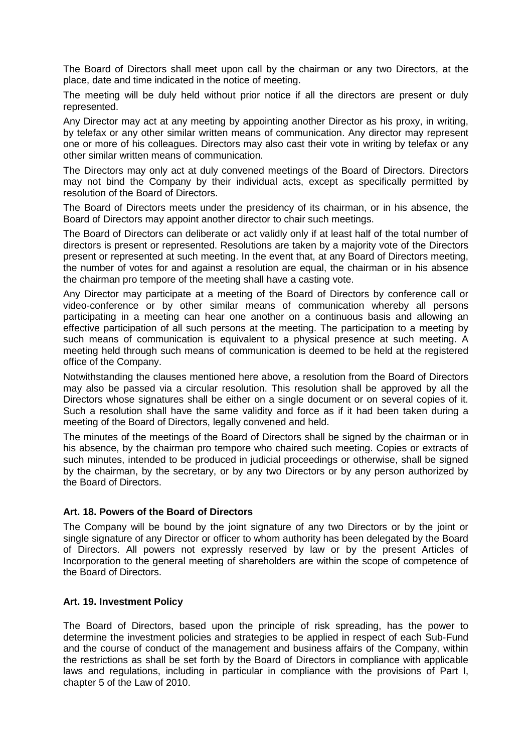The Board of Directors shall meet upon call by the chairman or any two Directors, at the place, date and time indicated in the notice of meeting.

The meeting will be duly held without prior notice if all the directors are present or duly represented.

Any Director may act at any meeting by appointing another Director as his proxy, in writing, by telefax or any other similar written means of communication. Any director may represent one or more of his colleagues. Directors may also cast their vote in writing by telefax or any other similar written means of communication.

The Directors may only act at duly convened meetings of the Board of Directors. Directors may not bind the Company by their individual acts, except as specifically permitted by resolution of the Board of Directors.

The Board of Directors meets under the presidency of its chairman, or in his absence, the Board of Directors may appoint another director to chair such meetings.

The Board of Directors can deliberate or act validly only if at least half of the total number of directors is present or represented. Resolutions are taken by a majority vote of the Directors present or represented at such meeting. In the event that, at any Board of Directors meeting, the number of votes for and against a resolution are equal, the chairman or in his absence the chairman pro tempore of the meeting shall have a casting vote.

Any Director may participate at a meeting of the Board of Directors by conference call or video-conference or by other similar means of communication whereby all persons participating in a meeting can hear one another on a continuous basis and allowing an effective participation of all such persons at the meeting. The participation to a meeting by such means of communication is equivalent to a physical presence at such meeting. A meeting held through such means of communication is deemed to be held at the registered office of the Company.

Notwithstanding the clauses mentioned here above, a resolution from the Board of Directors may also be passed via a circular resolution. This resolution shall be approved by all the Directors whose signatures shall be either on a single document or on several copies of it. Such a resolution shall have the same validity and force as if it had been taken during a meeting of the Board of Directors, legally convened and held.

The minutes of the meetings of the Board of Directors shall be signed by the chairman or in his absence, by the chairman pro tempore who chaired such meeting. Copies or extracts of such minutes, intended to be produced in judicial proceedings or otherwise, shall be signed by the chairman, by the secretary, or by any two Directors or by any person authorized by the Board of Directors.

### **Art. 18. Powers of the Board of Directors**

The Company will be bound by the joint signature of any two Directors or by the joint or single signature of any Director or officer to whom authority has been delegated by the Board of Directors. All powers not expressly reserved by law or by the present Articles of Incorporation to the general meeting of shareholders are within the scope of competence of the Board of Directors.

#### **Art. 19. Investment Policy**

The Board of Directors, based upon the principle of risk spreading, has the power to determine the investment policies and strategies to be applied in respect of each Sub-Fund and the course of conduct of the management and business affairs of the Company, within the restrictions as shall be set forth by the Board of Directors in compliance with applicable laws and regulations, including in particular in compliance with the provisions of Part I, chapter 5 of the Law of 2010.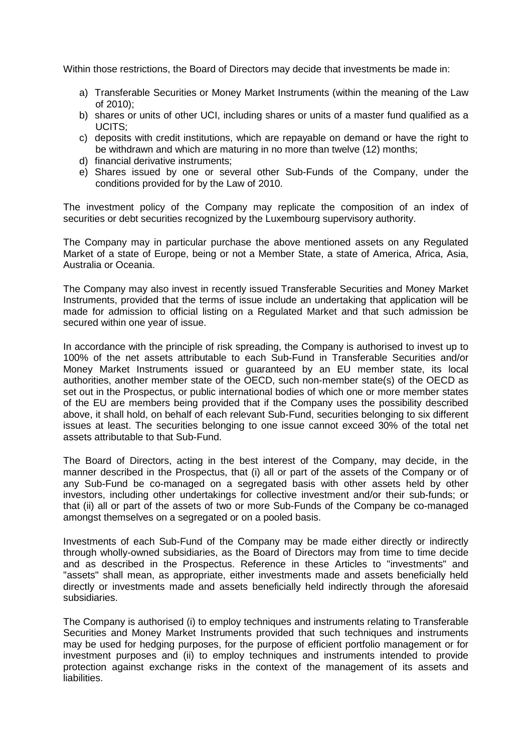Within those restrictions, the Board of Directors may decide that investments be made in:

- a) Transferable Securities or Money Market Instruments (within the meaning of the Law of 2010);
- b) shares or units of other UCI, including shares or units of a master fund qualified as a UCITS;
- c) deposits with credit institutions, which are repayable on demand or have the right to be withdrawn and which are maturing in no more than twelve (12) months;
- d) financial derivative instruments;
- e) Shares issued by one or several other Sub-Funds of the Company, under the conditions provided for by the Law of 2010.

The investment policy of the Company may replicate the composition of an index of securities or debt securities recognized by the Luxembourg supervisory authority.

The Company may in particular purchase the above mentioned assets on any Regulated Market of a state of Europe, being or not a Member State, a state of America, Africa, Asia, Australia or Oceania.

The Company may also invest in recently issued Transferable Securities and Money Market Instruments, provided that the terms of issue include an undertaking that application will be made for admission to official listing on a Regulated Market and that such admission be secured within one year of issue.

In accordance with the principle of risk spreading, the Company is authorised to invest up to 100% of the net assets attributable to each Sub-Fund in Transferable Securities and/or Money Market Instruments issued or guaranteed by an EU member state, its local authorities, another member state of the OECD, such non-member state(s) of the OECD as set out in the Prospectus, or public international bodies of which one or more member states of the EU are members being provided that if the Company uses the possibility described above, it shall hold, on behalf of each relevant Sub-Fund, securities belonging to six different issues at least. The securities belonging to one issue cannot exceed 30% of the total net assets attributable to that Sub-Fund.

The Board of Directors, acting in the best interest of the Company, may decide, in the manner described in the Prospectus, that (i) all or part of the assets of the Company or of any Sub-Fund be co-managed on a segregated basis with other assets held by other investors, including other undertakings for collective investment and/or their sub-funds; or that (ii) all or part of the assets of two or more Sub-Funds of the Company be co-managed amongst themselves on a segregated or on a pooled basis.

Investments of each Sub-Fund of the Company may be made either directly or indirectly through wholly-owned subsidiaries, as the Board of Directors may from time to time decide and as described in the Prospectus. Reference in these Articles to "investments" and "assets" shall mean, as appropriate, either investments made and assets beneficially held directly or investments made and assets beneficially held indirectly through the aforesaid subsidiaries.

The Company is authorised (i) to employ techniques and instruments relating to Transferable Securities and Money Market Instruments provided that such techniques and instruments may be used for hedging purposes, for the purpose of efficient portfolio management or for investment purposes and (ii) to employ techniques and instruments intended to provide protection against exchange risks in the context of the management of its assets and liabilities.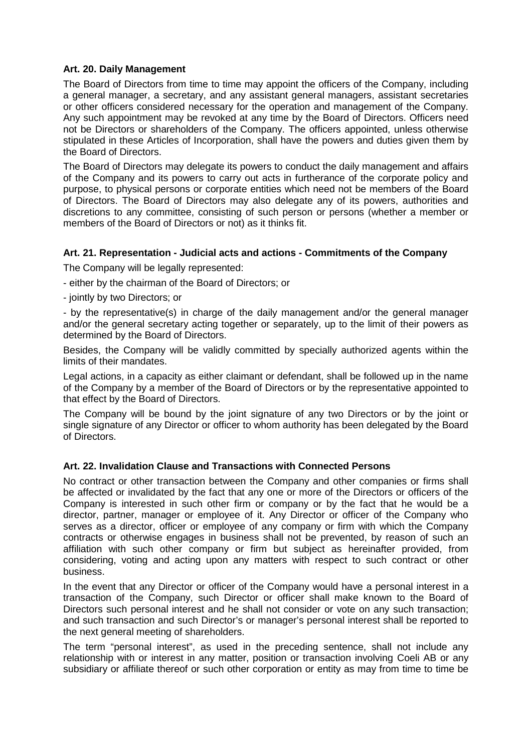### **Art. 20. Daily Management**

The Board of Directors from time to time may appoint the officers of the Company, including a general manager, a secretary, and any assistant general managers, assistant secretaries or other officers considered necessary for the operation and management of the Company. Any such appointment may be revoked at any time by the Board of Directors. Officers need not be Directors or shareholders of the Company. The officers appointed, unless otherwise stipulated in these Articles of Incorporation, shall have the powers and duties given them by the Board of Directors.

The Board of Directors may delegate its powers to conduct the daily management and affairs of the Company and its powers to carry out acts in furtherance of the corporate policy and purpose, to physical persons or corporate entities which need not be members of the Board of Directors. The Board of Directors may also delegate any of its powers, authorities and discretions to any committee, consisting of such person or persons (whether a member or members of the Board of Directors or not) as it thinks fit.

### **Art. 21. Representation - Judicial acts and actions - Commitments of the Company**

The Company will be legally represented:

- either by the chairman of the Board of Directors; or
- jointly by two Directors; or

- by the representative(s) in charge of the daily management and/or the general manager and/or the general secretary acting together or separately, up to the limit of their powers as determined by the Board of Directors.

Besides, the Company will be validly committed by specially authorized agents within the limits of their mandates.

Legal actions, in a capacity as either claimant or defendant, shall be followed up in the name of the Company by a member of the Board of Directors or by the representative appointed to that effect by the Board of Directors.

The Company will be bound by the joint signature of any two Directors or by the joint or single signature of any Director or officer to whom authority has been delegated by the Board of Directors.

# **Art. 22. Invalidation Clause and Transactions with Connected Persons**

No contract or other transaction between the Company and other companies or firms shall be affected or invalidated by the fact that any one or more of the Directors or officers of the Company is interested in such other firm or company or by the fact that he would be a director, partner, manager or employee of it. Any Director or officer of the Company who serves as a director, officer or employee of any company or firm with which the Company contracts or otherwise engages in business shall not be prevented, by reason of such an affiliation with such other company or firm but subject as hereinafter provided, from considering, voting and acting upon any matters with respect to such contract or other business.

In the event that any Director or officer of the Company would have a personal interest in a transaction of the Company, such Director or officer shall make known to the Board of Directors such personal interest and he shall not consider or vote on any such transaction; and such transaction and such Director's or manager's personal interest shall be reported to the next general meeting of shareholders.

The term "personal interest", as used in the preceding sentence, shall not include any relationship with or interest in any matter, position or transaction involving Coeli AB or any subsidiary or affiliate thereof or such other corporation or entity as may from time to time be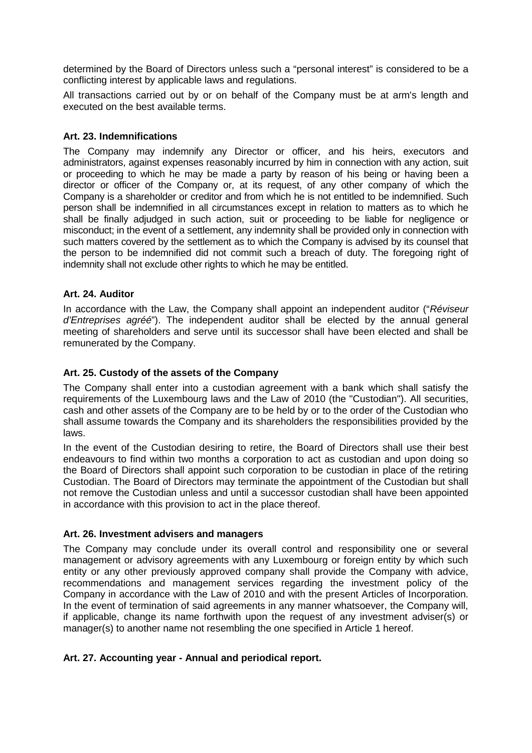determined by the Board of Directors unless such a "personal interest" is considered to be a conflicting interest by applicable laws and regulations.

All transactions carried out by or on behalf of the Company must be at arm's length and executed on the best available terms.

### **Art. 23. Indemnifications**

The Company may indemnify any Director or officer, and his heirs, executors and administrators, against expenses reasonably incurred by him in connection with any action, suit or proceeding to which he may be made a party by reason of his being or having been a director or officer of the Company or, at its request, of any other company of which the Company is a shareholder or creditor and from which he is not entitled to be indemnified. Such person shall be indemnified in all circumstances except in relation to matters as to which he shall be finally adjudged in such action, suit or proceeding to be liable for negligence or misconduct; in the event of a settlement, any indemnity shall be provided only in connection with such matters covered by the settlement as to which the Company is advised by its counsel that the person to be indemnified did not commit such a breach of duty. The foregoing right of indemnity shall not exclude other rights to which he may be entitled.

### **Art. 24. Auditor**

In accordance with the Law, the Company shall appoint an independent auditor ("*Réviseur d'Entreprises agréé*"). The independent auditor shall be elected by the annual general meeting of shareholders and serve until its successor shall have been elected and shall be remunerated by the Company.

### **Art. 25. Custody of the assets of the Company**

The Company shall enter into a custodian agreement with a bank which shall satisfy the requirements of the Luxembourg laws and the Law of 2010 (the "Custodian"). All securities, cash and other assets of the Company are to be held by or to the order of the Custodian who shall assume towards the Company and its shareholders the responsibilities provided by the laws.

In the event of the Custodian desiring to retire, the Board of Directors shall use their best endeavours to find within two months a corporation to act as custodian and upon doing so the Board of Directors shall appoint such corporation to be custodian in place of the retiring Custodian. The Board of Directors may terminate the appointment of the Custodian but shall not remove the Custodian unless and until a successor custodian shall have been appointed in accordance with this provision to act in the place thereof.

### **Art. 26. Investment advisers and managers**

The Company may conclude under its overall control and responsibility one or several management or advisory agreements with any Luxembourg or foreign entity by which such entity or any other previously approved company shall provide the Company with advice, recommendations and management services regarding the investment policy of the Company in accordance with the Law of 2010 and with the present Articles of Incorporation. In the event of termination of said agreements in any manner whatsoever, the Company will, if applicable, change its name forthwith upon the request of any investment adviser(s) or manager(s) to another name not resembling the one specified in Article 1 hereof.

### **Art. 27. Accounting year - Annual and periodical report.**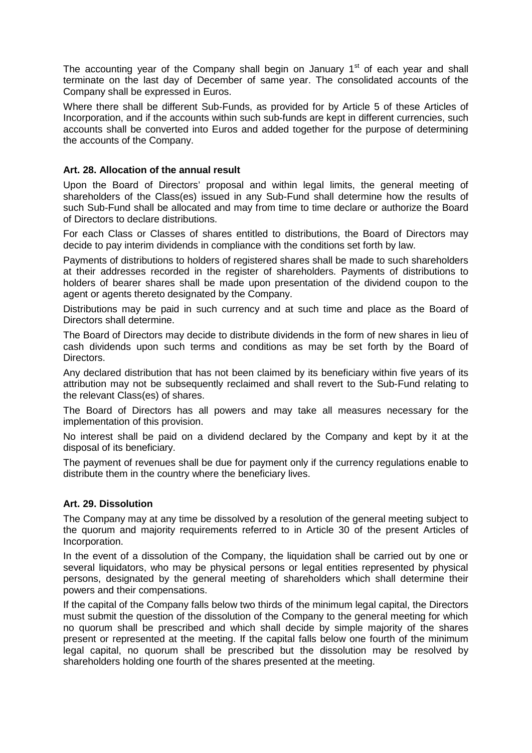The accounting year of the Company shall begin on January  $1<sup>st</sup>$  of each year and shall terminate on the last day of December of same year. The consolidated accounts of the Company shall be expressed in Euros.

Where there shall be different Sub-Funds, as provided for by Article 5 of these Articles of Incorporation, and if the accounts within such sub-funds are kept in different currencies, such accounts shall be converted into Euros and added together for the purpose of determining the accounts of the Company.

### **Art. 28. Allocation of the annual result**

Upon the Board of Directors' proposal and within legal limits, the general meeting of shareholders of the Class(es) issued in any Sub-Fund shall determine how the results of such Sub-Fund shall be allocated and may from time to time declare or authorize the Board of Directors to declare distributions.

For each Class or Classes of shares entitled to distributions, the Board of Directors may decide to pay interim dividends in compliance with the conditions set forth by law.

Payments of distributions to holders of registered shares shall be made to such shareholders at their addresses recorded in the register of shareholders. Payments of distributions to holders of bearer shares shall be made upon presentation of the dividend coupon to the agent or agents thereto designated by the Company.

Distributions may be paid in such currency and at such time and place as the Board of Directors shall determine.

The Board of Directors may decide to distribute dividends in the form of new shares in lieu of cash dividends upon such terms and conditions as may be set forth by the Board of Directors.

Any declared distribution that has not been claimed by its beneficiary within five years of its attribution may not be subsequently reclaimed and shall revert to the Sub-Fund relating to the relevant Class(es) of shares.

The Board of Directors has all powers and may take all measures necessary for the implementation of this provision.

No interest shall be paid on a dividend declared by the Company and kept by it at the disposal of its beneficiary.

The payment of revenues shall be due for payment only if the currency regulations enable to distribute them in the country where the beneficiary lives.

### **Art. 29. Dissolution**

The Company may at any time be dissolved by a resolution of the general meeting subject to the quorum and majority requirements referred to in Article 30 of the present Articles of Incorporation.

In the event of a dissolution of the Company, the liquidation shall be carried out by one or several liquidators, who may be physical persons or legal entities represented by physical persons, designated by the general meeting of shareholders which shall determine their powers and their compensations.

If the capital of the Company falls below two thirds of the minimum legal capital, the Directors must submit the question of the dissolution of the Company to the general meeting for which no quorum shall be prescribed and which shall decide by simple majority of the shares present or represented at the meeting. If the capital falls below one fourth of the minimum legal capital, no quorum shall be prescribed but the dissolution may be resolved by shareholders holding one fourth of the shares presented at the meeting.